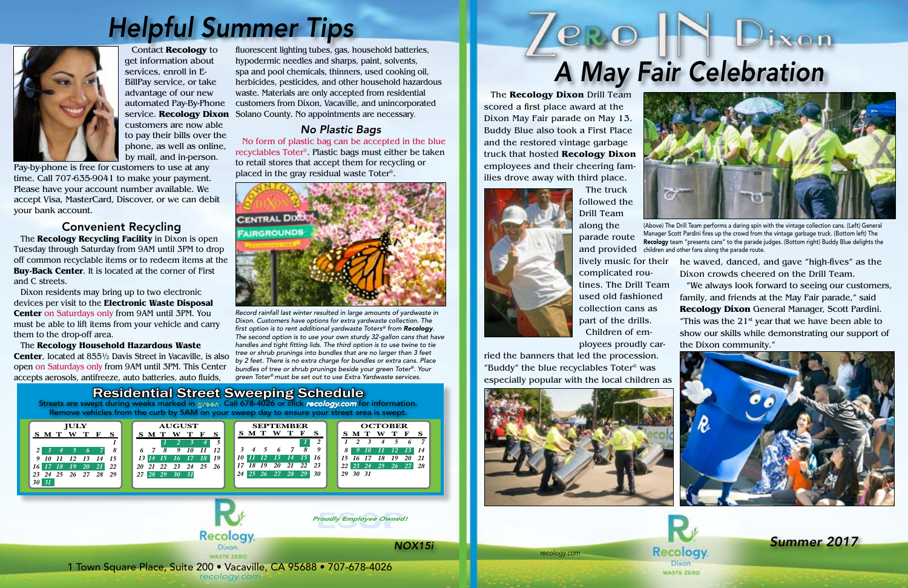#### Residential Street Sweeping Schedule Streets are swept during weeks marked in green. Call 678-4026 or click recology.com for information. Remove vehicles from the curb by 5AM on your sweep day to ensure your street area is swept. **AUGUST SEPTEMBER OCTOBER JULY S M T W T F S S M T W T F S S M T W T F S S M T W T F S**  *1 2 1 2 3 4 5 6 7 1 6 7 8 9 10 11 12 3 4 5 6 7 8 9 8 9 10 11 12 13 14 2 3 4 5 6 7 8 10 11 12 13 14 15 16 15 16 17 18 19 20 21 13 14 15 16 17 18 19 9 10 11 12 13 14 15 17 18 19 20 21 22 23 20 21 22 23 24 25 26 16 17 18 19 20 21 22 22 23 24 25 26 27 28 24 25 26 27 28 29 30 23 24 25 26 27 28 29 29 30 31 27 28 29 30 31 30 31* roudly Employee Owned<br>. *Proudly Employee Owned!* Recology

*recologyvacavillesolano.com* 1 Town Square Place, Suite 200 • Vacaville, CA 95688 • 707-448-2945 1 Town Square Place, Suite 200 • Vacaville, CA 95688 • 707-678-4026 *recology.com* 

# *Helpful Summer Tips*



and provided children and other fans along the parade route. (Above) The Drill Team performs a daring spin with the vintage collection cans. (Left) General Manager Scott Pardini fires up the crowd from the vintage garbage truck. (Bottom left) The Recology team "presents cans" to the parade judges. (Bottom right) Buddy Blue delights the

*Record rainfall last winter resulted in large amounts of yardwaste in Dixon. Customers have options for extra yardwaste collection. The first option is to rent additional yardwaste Toters® from Recology. The second option is to use your own sturdy 32-gallon cans that have handles and tight fitting lids. The third option is to use twine to tie tree or shrub prunings into bundles that are no larger than 3 feet by 2 feet. There is no extra charge for bundles or extra cans. Place bundles of tree or shrub prunings beside your green Toter®. Your green Toter® must be set out to use Extra Yardwaste services.*

The **Recology Dixon** Drill Team scored a first place award at the Dixon May Fair parade on May 13.

Buddy Blue also took a First Place and the restored vintage garbage truck that hosted **Recology Dixon**  employees and their cheering families drove away with third place.



The truck followed the Drill Team

along the parade route complicated routines. The Drill Team used old fashioned collection cans as part of the drills. Children of em-

ployees proudly car-

ried the banners that led the procession. "Buddy" the blue recyclables Toter® was especially popular with the local children as







- lively music for their he waved, danced, and gave "high-fives" as the Dixon crowds cheered on the Drill Team.
	- "We always look forward to seeing our customers, family, and friends at the May Fair parade," said **Recology Dixon** General Manager, Scott Pardini. "This was the  $21<sup>st</sup>$  year that we have been able to show our skills while demonstrating our support of the Dixon community."







### *No Plastic Bags*

No form of plastic bag can be accepted in the blue recyclables Toter®. Plastic bags must either be taken to retail stores that accept them for recycling or placed in the gray residual waste Toter®.



Contact **Recology** to get information about services, enroll in E-BillPay service, or take advantage of our new automated Pay-By-Phone customers are now able to pay their bills over the phone, as well as online, by mail, and in-person.

Pay-by-phone is free for customers to use at any time. Call 707-635-9041 to make your payment. Please have your account number available. We accept Visa, MasterCard, Discover, or we can debit your bank account.

#### Convenient Recycling

The **Recology Recycling Facility** in Dixon is open Tuesday through Saturday from 9AM until 3PM to drop off common recyclable items or to redeem items at the **Buy-Back Center**. It is located at the corner of First and C streets.

Dixon residents may bring up to two electronic devices per visit to the **Electronic Waste Disposal Center** on Saturdays only from 9AM until 3PM. You must be able to lift items from your vehicle and carry them to the drop-off area.

The **Recology Household Hazardous Waste Center**, located at 855½ Davis Street in Vacaville, is also open on Saturdays only from 9AM until 3PM. This Center accepts aerosols, antifreeze, auto batteries, auto fluids,

fluorescent lighting tubes, gas, household batteries, hypodermic needles and sharps, paint, solvents, spa and pool chemicals, thinners, used cooking oil, herbicides, pesticides, and other household hazardous waste. Materials are only accepted from residential customers from Dixon, Vacaville, and unincorporated service. **Recology Dixon** Solano County. No appointments are necessary.